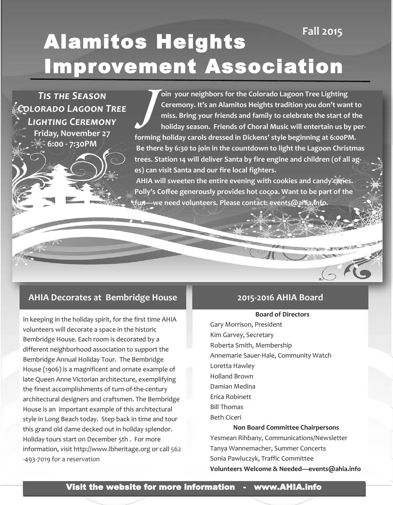# Alamitos Heights Improvement Association **Fall 2015**

*Tis the Season Colorado Lagoon Tree Lighting Ceremony* **Friday, November 27 6:00 - 7:30PM**

**J oin your neighbors for the Colorado Lagoon Tree Lighting Ceremony. It's an Alamitos Heights tradition you don't want to miss. Bring your friends and family to celebrate the start of the holiday season. Friends of Choral Music will entertain us by performing holiday carols dressed in Dickens' style beginning at 6:00PM. Be there by 6:30 to join in the countdown to light the Lagoon Christmas trees. Station 14 will deliver Santa by fire engine and children (of all ages) can visit Santa and our fire local fighters.** 

**AHIA will sweeten the entire evening with cookies and candy canes. Polly's Coffee generously provides hot cocoa. Want to be part of the fun—we need volunteers. Please contact: events@ahia.info.** 

### **AHIA Decorates at Bembridge House**

In keeping in the holiday spirit, for the first time AHIA volunteers will decorate a space in the historic Bembridge House. Each room is decorated by a different neighborhood association to support the Bembridge Annual Holiday Tour. The Bembridge House (1906) is a magnificent and ornate example of late Queen Anne Victorian architecture, exemplifying the finest accomplishments of turn-of-the-century architectural designers and craftsmen. The Bembridge House is an important example of this architectural style in Long Beach today. Step back in time and tour this grand old dame decked out in holiday splendor. Holiday tours start on December 5th . For more information, visit http://www.lbheritage.org or call 562 -493-7019 for a reservation

### **2015-2016 AHIA Board**

### **Board of Directors**

Gary Morrison, President Kim Garvey, Secretary Roberta Smith, Membership Annemarie Sauer-Hale, Community Watch Loretta Hawley Holland Brown Damian Medina Erica Robinett Bill Thomas Beth Ciceri **Non Board Committee Chairpersons**

Yesmean Rihbany, Communications/Newsletter Tanya Wannemacher, Summer Concerts Sonia Pawluczyk, Traffic Committee **Volunteers Welcome & Needed—events@ahia.info**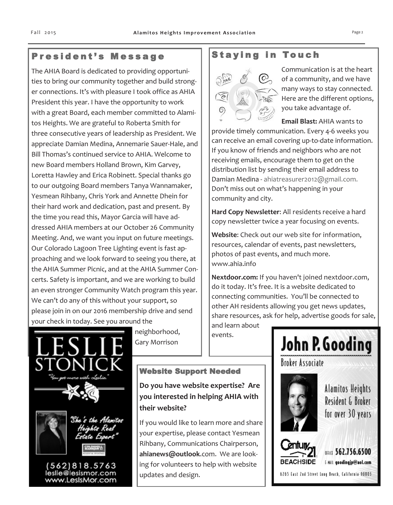# President's Message

The AHIA Board is dedicated to providing opportunities to bring our community together and build stronger connections. It's with pleasure I took office as AHIA President this year. I have the opportunity to work with a great Board, each member committed to Alamitos Heights. We are grateful to Roberta Smith for three consecutive years of leadership as President. We appreciate Damian Medina, Annemarie Sauer-Hale, and Bill Thomas's continued service to AHIA. Welcome to new Board members Holland Brown, Kim Garvey, Loretta Hawley and Erica Robinett. Special thanks go to our outgoing Board members Tanya Wannamaker, Yesmean Rihbany, Chris York and Annette Dhein for their hard work and dedication, past and present. By the time you read this, Mayor Garcia will have addressed AHIA members at our October 26 Community Meeting. And, we want you input on future meetings. Our Colorado Lagoon Tree Lighting event is fast approaching and we look forward to seeing you there, at the AHIA Summer Picnic, and at the AHIA Summer Concerts. Safety is important, and we are working to build an even stronger Community Watch program this year. We can't do any of this without your support, so please join in on our 2016 membership drive and send your check in today. See you around the

(562)818.5763 leslie@lesismor.com www.LesIsMor.com neighborhood, Gary Morrison

### Website Support Needed

**Do you have website expertise? Are you interested in helping AHIA with their website?**

If you would like to learn more and share your expertise, please contact Yesmean Rihbany, Communications Chairperson, **[ahianews@outlook](mailto:ahianews@outlook.com)**.com. We are looking for volunteers to help with website updates and design.

## **Staying in Touch**



Communication is at the heart of a community, and we have many ways to stay connected. Here are the different options, you take advantage of.

**Email Blast:** AHIA wants to provide timely communication. Every 4-6 weeks you can receive an email covering up-to-date information. If you know of friends and neighbors who are not receiving emails, encourage them to get on the distribution list by sending their email address to Damian Medina - ahiatreasurer2012@gmail.com. Don't miss out on what's happening in your community and city.

**Hard Copy Newsletter**: All residents receive a hard copy newsletter twice a year focusing on events.

**Website**: Check out our web site for information, resources, calendar of events, past newsletters, photos of past events, and much more. www.ahia.info

**Nextdoor.com:** If you haven't joined nextdoor.com, do it today. It's free. It is a website dedicated to connecting communities. You'll be connected to other AH residents allowing you get news updates, share resources, ask for help, advertise goods for sale,

and learn about events.



**Broker Associate** 



**Alamitos Heights** Resident & Broker for over 30 years



OFFICE 562.756.6500 [-MIL goodingjp@aol.com

6265 East 2nd Street Long Beach, California 90803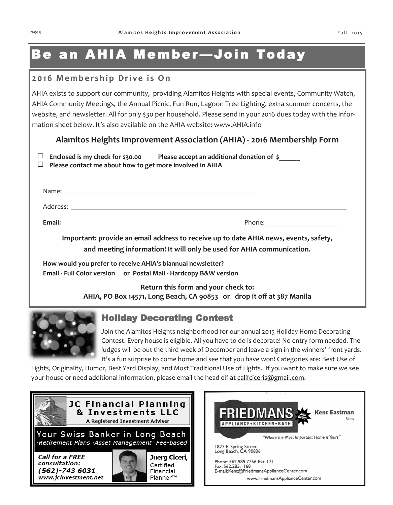# Be an AHIA Member —Join Today

### **2 0 1 6 M e m b e r s h i p D r i v e i s O n**

AHIA exists to support our community, providing Alamitos Heights with special events, Community Watch, AHIA Community Meetings, the Annual Picnic, Fun Run, Lagoon Tree Lighting, extra summer concerts, the website, and newsletter. All for only \$30 per household. Please send in your 2016 dues today with the information sheet below. It's also available on the AHIA website: www.AHIA.info

### **Alamitos Heights Improvement Association (AHIA) - 2016 Membership Form**

| $\Box$ Enclosed is my check for \$30.00                         | Please accept an additional donation of $\frac{1}{5}$ |
|-----------------------------------------------------------------|-------------------------------------------------------|
| $\Box$ Please contact me about how to get more involved in AHIA |                                                       |

| Name:    |        |
|----------|--------|
| Address: |        |
| Email:   | Phone: |

**Important: provide an email address to receive up to date AHIA news, events, safety, and meeting information! It will only be used for AHIA communication.**

**How would you prefer to receive AHIA's biannual newsletter? Email - Full Color version or Postal Mail - Hardcopy B&W version**

> **Return this form and your check to: AHIA, PO Box 14571, Long Beach, CA 90853 or drop it off at 387 Manila**



## Holiday Decorating Contest

Join the Alamitos Heights neighborhood for our annual 2015 Holiday Home Decorating Contest. Every house is eligible. All you have to do is decorate! No entry form needed. The judges will be out the third week of December and leave a sign in the winners' front yards. It's a fun surprise to come home and see that you have won! Categories are: Best Use of

Lights, Originality, Humor, Best Yard Display, and Most Traditional Use of Lights. If you want to make sure we see your house or need additional information, please email the head elf at [califciceris@gmail.com.](mailto:califciceris@gmail.com)